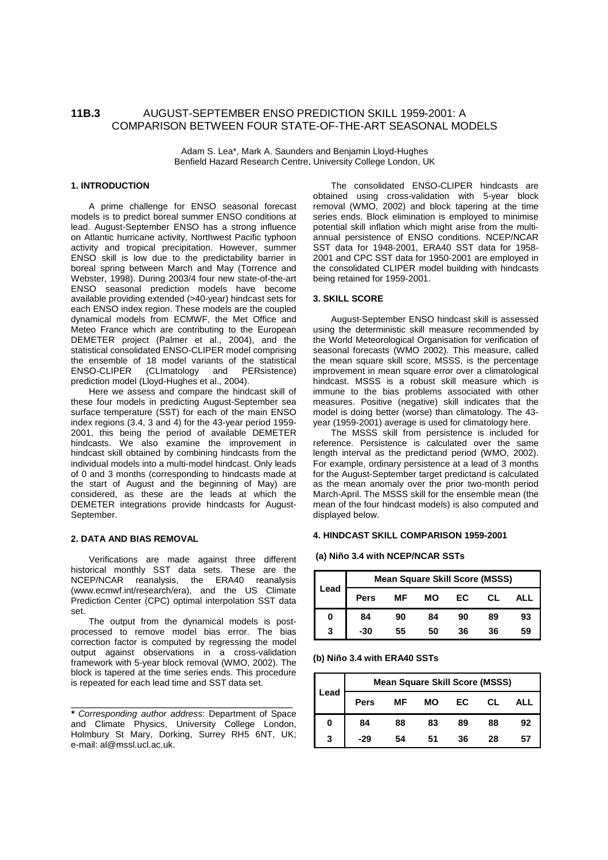# **11B.3** AUGUST-SEPTEMBER ENSO PREDICTION SKILL 1959-2001: A COMPARISON BETWEEN FOUR STATE-OF-THE-ART SEASONAL MODELS

Adam S. Lea\*, Mark A. Saunders and Benjamin Lloyd-Hughes Benfield Hazard Research Centre, University College London, UK

## **1. INTRODUCTION**

A prime challenge for ENSO seasonal forecast models is to predict boreal summer ENSO conditions at lead. August-September ENSO has a strong influence on Atlantic hurricane activity, Northwest Pacific typhoon activity and tropical precipitation. However, summer ENSO skill is low due to the predictability barrier in boreal spring between March and May (Torrence and Webster, 1998). During 2003/4 four new state-of-the-art ENSO seasonal prediction models have become available providing extended (>40-year) hindcast sets for each ENSO index region. These models are the coupled dynamical models from ECMWF, the Met Office and Meteo France which are contributing to the European DEMETER project (Palmer et al., 2004), and the statistical consolidated ENSO-CLIPER model comprising the ensemble of 18 model variants of the statistical<br>ENSO-CLIPER (CLImatology and PERsistence) (CLImatology and PERsistence) prediction model (Lloyd-Hughes et al., 2004).

Here we assess and compare the hindcast skill of these four models in predicting August-September sea surface temperature (SST) for each of the main ENSO index regions (3.4, 3 and 4) for the 43-year period 1959- 2001, this being the period of available DEMETER hindcasts. We also examine the improvement in hindcast skill obtained by combining hindcasts from the individual models into a multi-model hindcast. Only leads of 0 and 3 months (corresponding to hindcasts made at the start of August and the beginning of May) are considered, as these are the leads at which the DEMETER integrations provide hindcasts for August-September.

#### **2. DATA AND BIAS REMOVAL**

Verifications are made against three different historical monthly SST data sets. These are the NCEP/NCAR reanalysis, the ERA40 reanalysis (www.ecmwf.int/research/era), and the US Climate Prediction Center (CPC) optimal interpolation SST data set.

The output from the dynamical models is postprocessed to remove model bias error. The bias correction factor is computed by regressing the model output against observations in a cross-validation framework with 5-year block removal (WMO, 2002). The block is tapered at the time series ends. This procedure is repeated for each lead time and SST data set.

**\*** Corresponding author address: Department of Space and Climate Physics, University College London, Holmbury St Mary, Dorking, Surrey RH5 6NT, UK; e-mail: al@mssl.ucl.ac.uk.

\_\_\_\_\_\_\_\_\_\_\_\_\_\_\_\_\_\_\_\_\_\_\_\_\_\_\_\_\_\_\_\_\_\_\_\_\_\_\_\_\_ \_\_\_

The consolidated ENSO-CLIPER hindcasts are obtained using cross-validation with 5-year block removal (WMO, 2002) and block tapering at the time series ends. Block elimination is employed to minimise potential skill inflation which might arise from the multiannual persistence of ENSO conditions. NCEP/NCAR SST data for 1948-2001, ERA40 SST data for 1958- 2001 and CPC SST data for 1950-2001 are employed in the consolidated CLIPER model building with hindcasts being retained for 1959-2001.

## **3. SKILL SCORE**

August-September ENSO hindcast skill is assessed using the deterministic skill measure recommended by the World Meteorological Organisation for verification of seasonal forecasts (WMO 2002). This measure, called the mean square skill score, MSSS, is the percentage improvement in mean square error over a climatological hindcast. MSSS is a robust skill measure which is immune to the bias problems associated with other measures. Positive (negative) skill indicates that the model is doing better (worse) than climatology. The 43 year (1959-2001) average is used for climatology here.

The MSSS skill from persistence is included for reference. Persistence is calculated over the same length interval as the predictand period (WMO, 2002). For example, ordinary persistence at a lead of 3 months for the August-September target predictand is calculated as the mean anomaly over the prior two-month period March-April. The MSSS skill for the ensemble mean (the mean of the four hindcast models) is also computed and displayed below.

## **4. HINDCAST SKILL COMPARISON 1959-2001**

#### **(a) Niño 3.4 with NCEP/NCAR SSTs**

| .ead | <b>Mean Square Skill Score (MSSS)</b> |    |           |    |    |     |  |  |
|------|---------------------------------------|----|-----------|----|----|-----|--|--|
|      | <b>Pers</b>                           | МF | <b>MO</b> | EС | СL | ALL |  |  |
| 0    | 84                                    | 90 | 84        | 90 | 89 | 93  |  |  |
| 3    | -30                                   | 55 | 50        | 36 | 36 | 59  |  |  |

**(b) Niño 3.4 with ERA40 SSTs**

| Lead | <b>Mean Square Skill Score (MSSS)</b> |    |    |    |    |     |  |  |
|------|---------------------------------------|----|----|----|----|-----|--|--|
|      | Pers                                  | МF | MО | EC | CL | ALL |  |  |
| 0    | 84                                    | 88 | 83 | 89 | 88 | 92  |  |  |
| 3    | -29                                   | 54 | 51 | 36 | 28 | 57  |  |  |